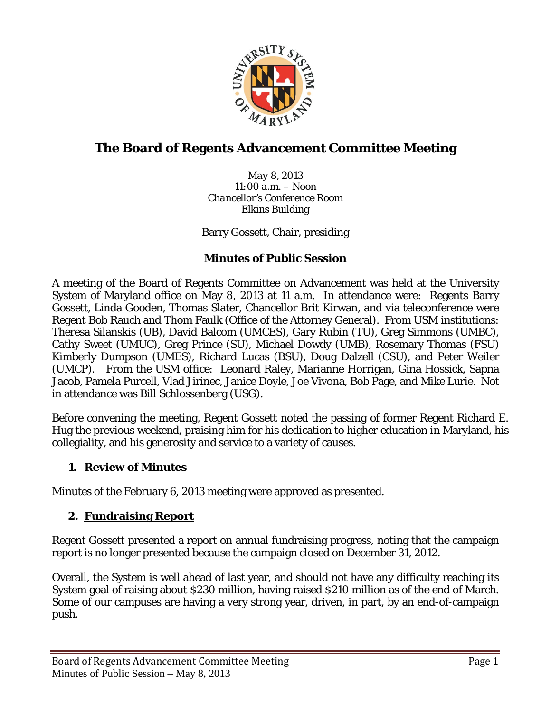

# **The Board of Regents Advancement Committee Meeting**

*May 8, 2013 11:00 a.m. – Noon Chancellor's Conference Room Elkins Building*

Barry Gossett, Chair, presiding

#### **Minutes of Public Session**

A meeting of the Board of Regents Committee on Advancement was held at the University System of Maryland office on May 8, 2013 at 11 a.m. In attendance were: Regents Barry Gossett, Linda Gooden, Thomas Slater, Chancellor Brit Kirwan, and via teleconference were Regent Bob Rauch and Thom Faulk (Office of the Attorney General). From USM institutions: Theresa Silanskis (UB), David Balcom (UMCES), Gary Rubin (TU), Greg Simmons (UMBC), Cathy Sweet (UMUC), Greg Prince (SU), Michael Dowdy (UMB), Rosemary Thomas (FSU) Kimberly Dumpson (UMES), Richard Lucas (BSU), Doug Dalzell (CSU), and Peter Weiler (UMCP). From the USM office: Leonard Raley, Marianne Horrigan, Gina Hossick, Sapna Jacob, Pamela Purcell, Vlad Jirinec, Janice Doyle, Joe Vivona, Bob Page, and Mike Lurie. Not in attendance was Bill Schlossenberg (USG).

Before convening the meeting, Regent Gossett noted the passing of former Regent Richard E. Hug the previous weekend, praising him for his dedication to higher education in Maryland, his collegiality, and his generosity and service to a variety of causes.

### **1. Review of Minutes**

Minutes of the February 6, 2013 meeting were approved as presented.

### **2. Fundraising Report**

Regent Gossett presented a report on annual fundraising progress, noting that the campaign report is no longer presented because the campaign closed on December 31, 2012.

Overall, the System is well ahead of last year, and should not have any difficulty reaching its System goal of raising about \$230 million, having raised \$210 million as of the end of March. Some of our campuses are having a very strong year, driven, in part, by an end-of-campaign push.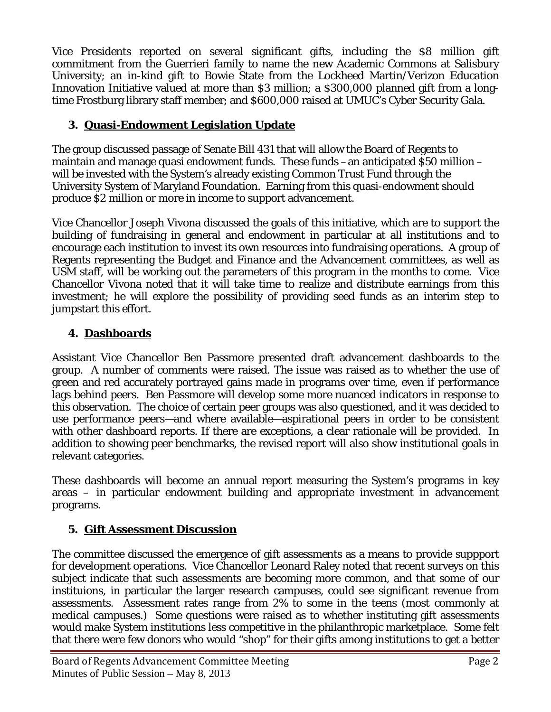Vice Presidents reported on several significant gifts, including the \$8 million gift commitment from the Guerrieri family to name the new Academic Commons at Salisbury University; an in-kind gift to Bowie State from the Lockheed Martin/Verizon Education Innovation Initiative valued at more than \$3 million; a \$300,000 planned gift from a longtime Frostburg library staff member; and \$600,000 raised at UMUC's Cyber Security Gala.

### **3. Quasi-Endowment Legislation Update**

The group discussed passage of Senate Bill 431 that will allow the Board of Regents to maintain and manage quasi endowment funds. These funds –an anticipated \$50 million – will be invested with the System's already existing Common Trust Fund through the University System of Maryland Foundation. Earning from this quasi-endowment should produce \$2 million or more in income to support advancement.

Vice Chancellor Joseph Vivona discussed the goals of this initiative, which are to support the building of fundraising in general and endowment in particular at all institutions and to encourage each institution to invest its own resources into fundraising operations. A group of Regents representing the Budget and Finance and the Advancement committees, as well as USM staff, will be working out the parameters of this program in the months to come. Vice Chancellor Vivona noted that it will take time to realize and distribute earnings from this investment; he will explore the possibility of providing seed funds as an interim step to jumpstart this effort.

# **4. Dashboards**

Assistant Vice Chancellor Ben Passmore presented draft advancement dashboards to the group. A number of comments were raised. The issue was raised as to whether the use of green and red accurately portrayed gains made in programs over time, even if performance lags behind peers. Ben Passmore will develop some more nuanced indicators in response to this observation. The choice of certain peer groups was also questioned, and it was decided to use performance peers—and where available—aspirational peers in order to be consistent with other dashboard reports. If there are exceptions, a clear rationale will be provided. In addition to showing peer benchmarks, the revised report will also show institutional goals in relevant categories.

These dashboards will become an annual report measuring the System's programs in key areas – in particular endowment building and appropriate investment in advancement programs.

# **5. Gift Assessment Discussion**

The committee discussed the emergence of gift assessments as a means to provide suppport for development operations. Vice Chancellor Leonard Raley noted that recent surveys on this subject indicate that such assessments are becoming more common, and that some of our instituions, in particular the larger research campuses, could see significant revenue from assessments. Assessment rates range from 2% to some in the teens (most commonly at medical campuses.) Some questions were raised as to whether instituting gift assessments would make System institutions less competitive in the philanthropic marketplace. Some felt that there were few donors who would "shop" for their gifts among institutions to get a better